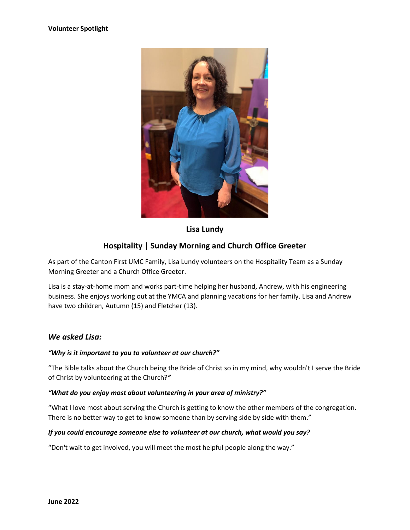

**Lisa Lundy**

# **Hospitality | Sunday Morning and Church Office Greeter**

As part of the Canton First UMC Family, Lisa Lundy volunteers on the Hospitality Team as a Sunday Morning Greeter and a Church Office Greeter.

Lisa is a stay-at-home mom and works part-time helping her husband, Andrew, with his engineering business. She enjoys working out at the YMCA and planning vacations for her family. Lisa and Andrew have two children, Autumn (15) and Fletcher (13).

### *We asked Lisa:*

#### *"Why is it important to you to volunteer at our church?"*

"The Bible talks about the Church being the Bride of Christ so in my mind, why wouldn't I serve the Bride of Christ by volunteering at the Church?*"*

#### *"What do you enjoy most about volunteering in your area of ministry?"*

"What I love most about serving the Church is getting to know the other members of the congregation. There is no better way to get to know someone than by serving side by side with them."

#### *If you could encourage someone else to volunteer at our church, what would you say?*

"Don't wait to get involved, you will meet the most helpful people along the way."